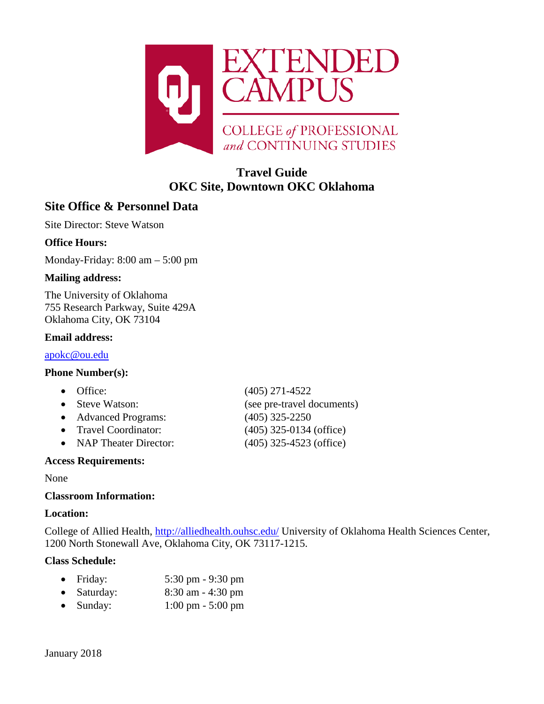

# **Travel Guide OKC Site, Downtown OKC Oklahoma**

# **Site Office & Personnel Data**

Site Director: Steve Watson

## **Office Hours:**

Monday-Friday: 8:00 am – 5:00 pm

## **Mailing address:**

The University of Oklahoma 755 Research Parkway, Suite 429A Oklahoma City, OK 73104

#### **Email address:**

[apokc@ou.edu](mailto:apokc@ou.edu)

## **Phone Number(s):**

- 
- 
- Advanced Programs: (405) 325-2250
- 
- NAP Theater Director: (405) 325-4523 (office)

## **Access Requirements:**

#### None

## **Classroom Information:**

#### **Location:**

College of Allied Health,<http://alliedhealth.ouhsc.edu/> University of Oklahoma Health Sciences Center, 1200 North Stonewall Ave, Oklahoma City, OK 73117-1215.

## **Class Schedule:**

| Friday: | $5:30 \text{ pm} - 9:30 \text{ pm}$ |
|---------|-------------------------------------|
|---------|-------------------------------------|

- Saturday: 8:30 am 4:30 pm
- Sunday: 1:00 pm 5:00 pm

January 2018

• Office: (405) 271-4522 • Steve Watson: (see pre-travel documents) • Travel Coordinator: (405) 325-0134 (office)